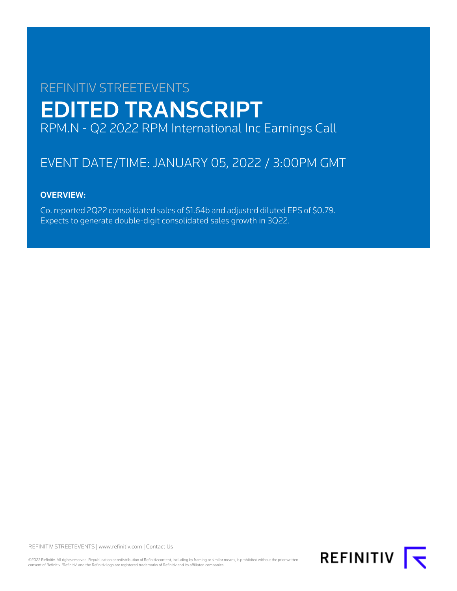# REFINITIV STREETEVENTS EDITED TRANSCRIPT RPM.N - Q2 2022 RPM International Inc Earnings Call

# EVENT DATE/TIME: JANUARY 05, 2022 / 3:00PM GMT

# OVERVIEW:

Co. reported 2Q22 consolidated sales of \$1.64b and adjusted diluted EPS of \$0.79. Expects to generate double-digit consolidated sales growth in 3Q22.

REFINITIV STREETEVENTS | [www.refinitiv.com](https://www.refinitiv.com/) | [Contact Us](https://www.refinitiv.com/en/contact-us)

©2022 Refinitiv. All rights reserved. Republication or redistribution of Refinitiv content, including by framing or similar means, is prohibited without the prior written consent of Refinitiv. 'Refinitiv' and the Refinitiv logo are registered trademarks of Refinitiv and its affiliated companies.

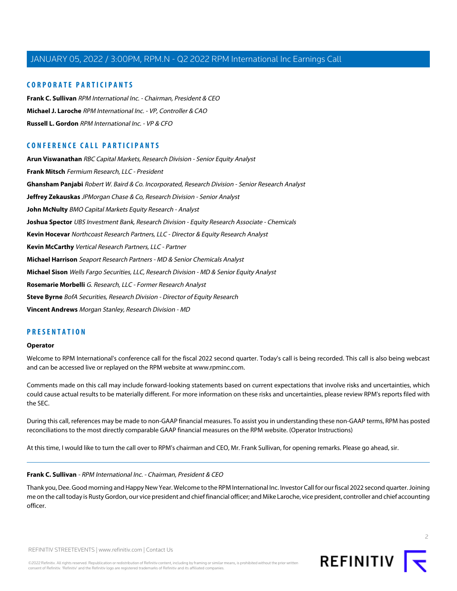## **CORPORATE PARTICIPANTS**

**[Frank C. Sullivan](#page-1-0)** RPM International Inc. - Chairman, President & CEO **[Michael J. Laroche](#page-3-0)** RPM International Inc. - VP, Controller & CAO **[Russell L. Gordon](#page-4-0)** RPM International Inc. - VP & CFO

# **CONFERENCE CALL PARTICIPANTS**

**[Arun Viswanathan](#page-14-0)** RBC Capital Markets, Research Division - Senior Equity Analyst **[Frank Mitsch](#page-5-0)** Fermium Research, LLC - President **[Ghansham Panjabi](#page-7-0)** Robert W. Baird & Co. Incorporated, Research Division - Senior Research Analyst **[Jeffrey Zekauskas](#page-13-0)** JPMorgan Chase & Co, Research Division - Senior Analyst **[John McNulty](#page-6-0)** BMO Capital Markets Equity Research - Analyst **[Joshua Spector](#page-12-0)** UBS Investment Bank, Research Division - Equity Research Associate - Chemicals **[Kevin Hocevar](#page-17-0)** Northcoast Research Partners, LLC - Director & Equity Research Analyst **[Kevin McCarthy](#page-11-0)** Vertical Research Partners, LLC - Partner **[Michael Harrison](#page-16-0)** Seaport Research Partners - MD & Senior Chemicals Analyst **[Michael Sison](#page-15-0)** Wells Fargo Securities, LLC, Research Division - MD & Senior Equity Analyst **[Rosemarie Morbelli](#page-18-0)** G. Research, LLC - Former Research Analyst **[Steve Byrne](#page-9-0)** BofA Securities, Research Division - Director of Equity Research **[Vincent Andrews](#page-10-0)** Morgan Stanley, Research Division - MD

## **PRESENTATION**

#### **Operator**

Welcome to RPM International's conference call for the fiscal 2022 second quarter. Today's call is being recorded. This call is also being webcast and can be accessed live or replayed on the RPM website at www.rpminc.com.

Comments made on this call may include forward-looking statements based on current expectations that involve risks and uncertainties, which could cause actual results to be materially different. For more information on these risks and uncertainties, please review RPM's reports filed with the SEC.

<span id="page-1-0"></span>During this call, references may be made to non-GAAP financial measures. To assist you in understanding these non-GAAP terms, RPM has posted reconciliations to the most directly comparable GAAP financial measures on the RPM website. (Operator Instructions)

At this time, I would like to turn the call over to RPM's chairman and CEO, Mr. Frank Sullivan, for opening remarks. Please go ahead, sir.

#### **Frank C. Sullivan** - RPM International Inc. - Chairman, President & CEO

Thank you, Dee. Good morning and Happy New Year. Welcome to the RPM International Inc. Investor Call for our fiscal 2022 second quarter. Joining me on the call today is Rusty Gordon, our vice president and chief financial officer; and Mike Laroche, vice president, controller and chief accounting officer.

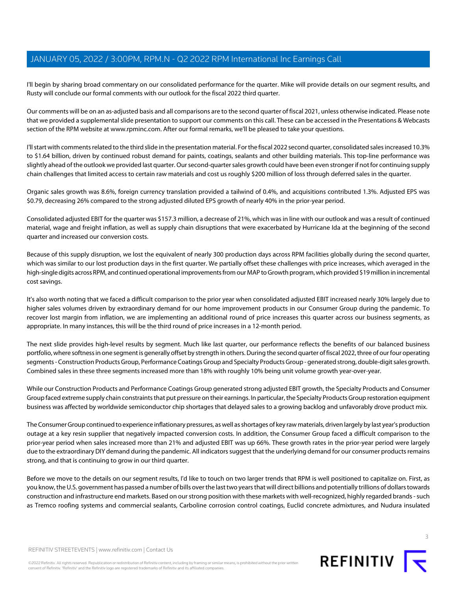I'll begin by sharing broad commentary on our consolidated performance for the quarter. Mike will provide details on our segment results, and Rusty will conclude our formal comments with our outlook for the fiscal 2022 third quarter.

Our comments will be on an as-adjusted basis and all comparisons are to the second quarter of fiscal 2021, unless otherwise indicated. Please note that we provided a supplemental slide presentation to support our comments on this call. These can be accessed in the Presentations & Webcasts section of the RPM website at www.rpminc.com. After our formal remarks, we'll be pleased to take your questions.

I'll start with comments related to the third slide in the presentation material. For the fiscal 2022 second quarter, consolidated sales increased 10.3% to \$1.64 billion, driven by continued robust demand for paints, coatings, sealants and other building materials. This top-line performance was slightly ahead of the outlook we provided last quarter. Our second-quarter sales growth could have been even stronger if not for continuing supply chain challenges that limited access to certain raw materials and cost us roughly \$200 million of loss through deferred sales in the quarter.

Organic sales growth was 8.6%, foreign currency translation provided a tailwind of 0.4%, and acquisitions contributed 1.3%. Adjusted EPS was \$0.79, decreasing 26% compared to the strong adjusted diluted EPS growth of nearly 40% in the prior-year period.

Consolidated adjusted EBIT for the quarter was \$157.3 million, a decrease of 21%, which was in line with our outlook and was a result of continued material, wage and freight inflation, as well as supply chain disruptions that were exacerbated by Hurricane Ida at the beginning of the second quarter and increased our conversion costs.

Because of this supply disruption, we lost the equivalent of nearly 300 production days across RPM facilities globally during the second quarter, which was similar to our lost production days in the first quarter. We partially offset these challenges with price increases, which averaged in the high-single digits across RPM, and continued operational improvements from our MAP to Growth program, which provided \$19 million in incremental cost savings.

It's also worth noting that we faced a difficult comparison to the prior year when consolidated adjusted EBIT increased nearly 30% largely due to higher sales volumes driven by extraordinary demand for our home improvement products in our Consumer Group during the pandemic. To recover lost margin from inflation, we are implementing an additional round of price increases this quarter across our business segments, as appropriate. In many instances, this will be the third round of price increases in a 12-month period.

The next slide provides high-level results by segment. Much like last quarter, our performance reflects the benefits of our balanced business portfolio, where softness in one segment is generally offset by strength in others. During the second quarter of fiscal 2022, three of our four operating segments - Construction Products Group, Performance Coatings Group and Specialty Products Group - generated strong, double-digit sales growth. Combined sales in these three segments increased more than 18% with roughly 10% being unit volume growth year-over-year.

While our Construction Products and Performance Coatings Group generated strong adjusted EBIT growth, the Specialty Products and Consumer Group faced extreme supply chain constraints that put pressure on their earnings. In particular, the Specialty Products Group restoration equipment business was affected by worldwide semiconductor chip shortages that delayed sales to a growing backlog and unfavorably drove product mix.

The Consumer Group continued to experience inflationary pressures, as well as shortages of key raw materials, driven largely by last year's production outage at a key resin supplier that negatively impacted conversion costs. In addition, the Consumer Group faced a difficult comparison to the prior-year period when sales increased more than 21% and adjusted EBIT was up 66%. These growth rates in the prior-year period were largely due to the extraordinary DIY demand during the pandemic. All indicators suggest that the underlying demand for our consumer products remains strong, and that is continuing to grow in our third quarter.

Before we move to the details on our segment results, I'd like to touch on two larger trends that RPM is well positioned to capitalize on. First, as you know, the U.S. government has passed a number of bills over the last two years that will direct billions and potentially trillions of dollars towards construction and infrastructure end markets. Based on our strong position with these markets with well-recognized, highly regarded brands - such as Tremco roofing systems and commercial sealants, Carboline corrosion control coatings, Euclid concrete admixtures, and Nudura insulated

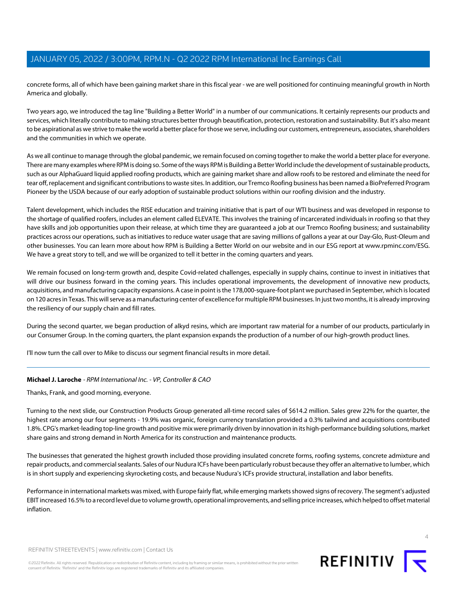concrete forms, all of which have been gaining market share in this fiscal year - we are well positioned for continuing meaningful growth in North America and globally.

Two years ago, we introduced the tag line "Building a Better World" in a number of our communications. It certainly represents our products and services, which literally contribute to making structures better through beautification, protection, restoration and sustainability. But it's also meant to be aspirational as we strive to make the world a better place for those we serve, including our customers, entrepreneurs, associates, shareholders and the communities in which we operate.

As we all continue to manage through the global pandemic, we remain focused on coming together to make the world a better place for everyone. There are many examples where RPM is doing so. Some of the ways RPM is Building a Better World include the development of sustainable products, such as our AlphaGuard liquid applied roofing products, which are gaining market share and allow roofs to be restored and eliminate the need for tear off, replacement and significant contributions to waste sites. In addition, our Tremco Roofing business has been named a BioPreferred Program Pioneer by the USDA because of our early adoption of sustainable product solutions within our roofing division and the industry.

Talent development, which includes the RISE education and training initiative that is part of our WTI business and was developed in response to the shortage of qualified roofers, includes an element called ELEVATE. This involves the training of incarcerated individuals in roofing so that they have skills and job opportunities upon their release, at which time they are guaranteed a job at our Tremco Roofing business; and sustainability practices across our operations, such as initiatives to reduce water usage that are saving millions of gallons a year at our Day-Glo, Rust-Oleum and other businesses. You can learn more about how RPM is Building a Better World on our website and in our ESG report at www.rpminc.com/ESG. We have a great story to tell, and we will be organized to tell it better in the coming quarters and years.

We remain focused on long-term growth and, despite Covid-related challenges, especially in supply chains, continue to invest in initiatives that will drive our business forward in the coming years. This includes operational improvements, the development of innovative new products, acquisitions, and manufacturing capacity expansions. A case in point is the 178,000-square-foot plant we purchased in September, which is located on 120 acres in Texas. This will serve as a manufacturing center of excellence for multiple RPM businesses. In just two months, it is already improving the resiliency of our supply chain and fill rates.

During the second quarter, we began production of alkyd resins, which are important raw material for a number of our products, particularly in our Consumer Group. In the coming quarters, the plant expansion expands the production of a number of our high-growth product lines.

<span id="page-3-0"></span>I'll now turn the call over to Mike to discuss our segment financial results in more detail.

## **Michael J. Laroche** - RPM International Inc. - VP, Controller & CAO

Thanks, Frank, and good morning, everyone.

Turning to the next slide, our Construction Products Group generated all-time record sales of \$614.2 million. Sales grew 22% for the quarter, the highest rate among our four segments - 19.9% was organic, foreign currency translation provided a 0.3% tailwind and acquisitions contributed 1.8%. CPG's market-leading top-line growth and positive mix were primarily driven by innovation in its high-performance building solutions, market share gains and strong demand in North America for its construction and maintenance products.

The businesses that generated the highest growth included those providing insulated concrete forms, roofing systems, concrete admixture and repair products, and commercial sealants. Sales of our Nudura ICFs have been particularly robust because they offer an alternative to lumber, which is in short supply and experiencing skyrocketing costs, and because Nudura's ICFs provide structural, installation and labor benefits.

Performance in international markets was mixed, with Europe fairly flat, while emerging markets showed signs of recovery. The segment's adjusted EBIT increased 16.5% to a record level due to volume growth, operational improvements, and selling price increases, which helped to offset material inflation.

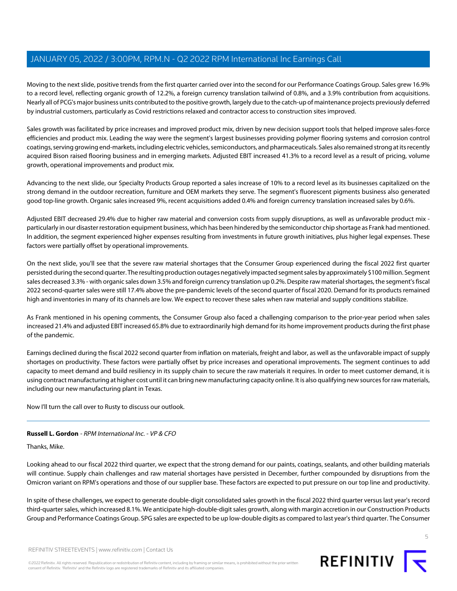Moving to the next slide, positive trends from the first quarter carried over into the second for our Performance Coatings Group. Sales grew 16.9% to a record level, reflecting organic growth of 12.2%, a foreign currency translation tailwind of 0.8%, and a 3.9% contribution from acquisitions. Nearly all of PCG's major business units contributed to the positive growth, largely due to the catch-up of maintenance projects previously deferred by industrial customers, particularly as Covid restrictions relaxed and contractor access to construction sites improved.

Sales growth was facilitated by price increases and improved product mix, driven by new decision support tools that helped improve sales-force efficiencies and product mix. Leading the way were the segment's largest businesses providing polymer flooring systems and corrosion control coatings, serving growing end-markets, including electric vehicles, semiconductors, and pharmaceuticals. Sales also remained strong at its recently acquired Bison raised flooring business and in emerging markets. Adjusted EBIT increased 41.3% to a record level as a result of pricing, volume growth, operational improvements and product mix.

Advancing to the next slide, our Specialty Products Group reported a sales increase of 10% to a record level as its businesses capitalized on the strong demand in the outdoor recreation, furniture and OEM markets they serve. The segment's fluorescent pigments business also generated good top-line growth. Organic sales increased 9%, recent acquisitions added 0.4% and foreign currency translation increased sales by 0.6%.

Adjusted EBIT decreased 29.4% due to higher raw material and conversion costs from supply disruptions, as well as unfavorable product mix particularly in our disaster restoration equipment business, which has been hindered by the semiconductor chip shortage as Frank had mentioned. In addition, the segment experienced higher expenses resulting from investments in future growth initiatives, plus higher legal expenses. These factors were partially offset by operational improvements.

On the next slide, you'll see that the severe raw material shortages that the Consumer Group experienced during the fiscal 2022 first quarter persisted during the second quarter. The resulting production outages negatively impacted segment sales by approximately \$100 million. Segment sales decreased 3.3% - with organic sales down 3.5% and foreign currency translation up 0.2%. Despite raw material shortages, the segment's fiscal 2022 second-quarter sales were still 17.4% above the pre-pandemic levels of the second quarter of fiscal 2020. Demand for its products remained high and inventories in many of its channels are low. We expect to recover these sales when raw material and supply conditions stabilize.

As Frank mentioned in his opening comments, the Consumer Group also faced a challenging comparison to the prior-year period when sales increased 21.4% and adjusted EBIT increased 65.8% due to extraordinarily high demand for its home improvement products during the first phase of the pandemic.

Earnings declined during the fiscal 2022 second quarter from inflation on materials, freight and labor, as well as the unfavorable impact of supply shortages on productivity. These factors were partially offset by price increases and operational improvements. The segment continues to add capacity to meet demand and build resiliency in its supply chain to secure the raw materials it requires. In order to meet customer demand, it is using contract manufacturing at higher cost until it can bring new manufacturing capacity online. It is also qualifying new sources for raw materials, including our new manufacturing plant in Texas.

<span id="page-4-0"></span>Now I'll turn the call over to Rusty to discuss our outlook.

## **Russell L. Gordon** - RPM International Inc. - VP & CFO

Thanks, Mike.

Looking ahead to our fiscal 2022 third quarter, we expect that the strong demand for our paints, coatings, sealants, and other building materials will continue. Supply chain challenges and raw material shortages have persisted in December, further compounded by disruptions from the Omicron variant on RPM's operations and those of our supplier base. These factors are expected to put pressure on our top line and productivity.

In spite of these challenges, we expect to generate double-digit consolidated sales growth in the fiscal 2022 third quarter versus last year's record third-quarter sales, which increased 8.1%. We anticipate high-double-digit sales growth, along with margin accretion in our Construction Products Group and Performance Coatings Group. SPG sales are expected to be up low-double digits as compared to last year's third quarter. The Consumer

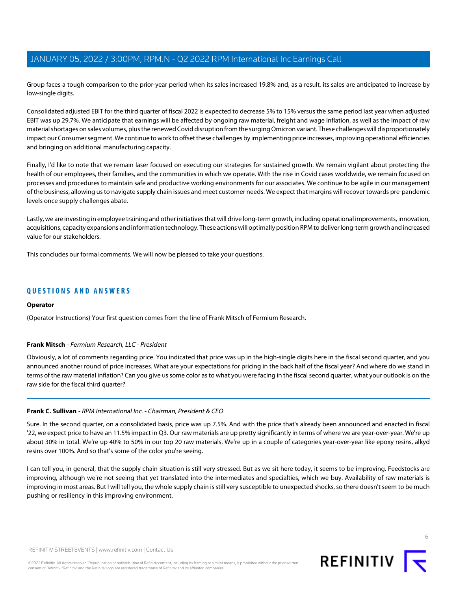Group faces a tough comparison to the prior-year period when its sales increased 19.8% and, as a result, its sales are anticipated to increase by low-single digits.

Consolidated adjusted EBIT for the third quarter of fiscal 2022 is expected to decrease 5% to 15% versus the same period last year when adjusted EBIT was up 29.7%. We anticipate that earnings will be affected by ongoing raw material, freight and wage inflation, as well as the impact of raw material shortages on sales volumes, plus the renewed Covid disruption from the surging Omicron variant. These challenges will disproportionately impact our Consumer segment. We continue to work to offset these challenges by implementing price increases, improving operational efficiencies and bringing on additional manufacturing capacity.

Finally, I'd like to note that we remain laser focused on executing our strategies for sustained growth. We remain vigilant about protecting the health of our employees, their families, and the communities in which we operate. With the rise in Covid cases worldwide, we remain focused on processes and procedures to maintain safe and productive working environments for our associates. We continue to be agile in our management of the business, allowing us to navigate supply chain issues and meet customer needs. We expect that margins will recover towards pre-pandemic levels once supply challenges abate.

Lastly, we are investing in employee training and other initiatives that will drive long-term growth, including operational improvements, innovation, acquisitions, capacity expansions and information technology. These actions will optimally position RPM to deliver long-term growth and increased value for our stakeholders.

This concludes our formal comments. We will now be pleased to take your questions.

## **QUESTIONS AND ANSWERS**

#### <span id="page-5-0"></span>**Operator**

(Operator Instructions) Your first question comes from the line of Frank Mitsch of Fermium Research.

## **Frank Mitsch** - Fermium Research, LLC - President

Obviously, a lot of comments regarding price. You indicated that price was up in the high-single digits here in the fiscal second quarter, and you announced another round of price increases. What are your expectations for pricing in the back half of the fiscal year? And where do we stand in terms of the raw material inflation? Can you give us some color as to what you were facing in the fiscal second quarter, what your outlook is on the raw side for the fiscal third quarter?

## **Frank C. Sullivan** - RPM International Inc. - Chairman, President & CEO

Sure. In the second quarter, on a consolidated basis, price was up 7.5%. And with the price that's already been announced and enacted in fiscal '22, we expect price to have an 11.5% impact in Q3. Our raw materials are up pretty significantly in terms of where we are year-over-year. We're up about 30% in total. We're up 40% to 50% in our top 20 raw materials. We're up in a couple of categories year-over-year like epoxy resins, alkyd resins over 100%. And so that's some of the color you're seeing.

I can tell you, in general, that the supply chain situation is still very stressed. But as we sit here today, it seems to be improving. Feedstocks are improving, although we're not seeing that yet translated into the intermediates and specialties, which we buy. Availability of raw materials is improving in most areas. But I will tell you, the whole supply chain is still very susceptible to unexpected shocks, so there doesn't seem to be much pushing or resiliency in this improving environment.

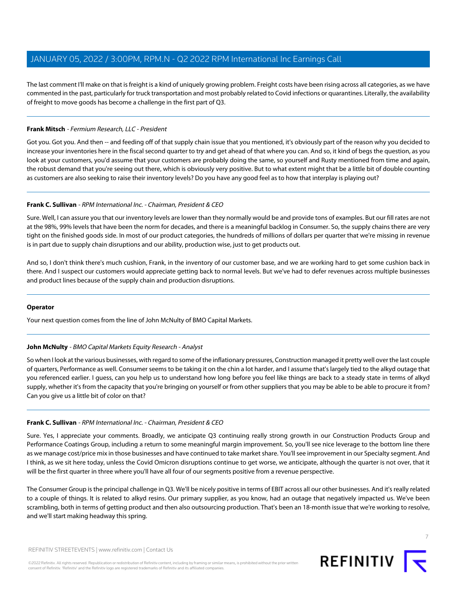The last comment I'll make on that is freight is a kind of uniquely growing problem. Freight costs have been rising across all categories, as we have commented in the past, particularly for truck transportation and most probably related to Covid infections or quarantines. Literally, the availability of freight to move goods has become a challenge in the first part of Q3.

## **Frank Mitsch** - Fermium Research, LLC - President

Got you. Got you. And then -- and feeding off of that supply chain issue that you mentioned, it's obviously part of the reason why you decided to increase your inventories here in the fiscal second quarter to try and get ahead of that where you can. And so, it kind of begs the question, as you look at your customers, you'd assume that your customers are probably doing the same, so yourself and Rusty mentioned from time and again, the robust demand that you're seeing out there, which is obviously very positive. But to what extent might that be a little bit of double counting as customers are also seeking to raise their inventory levels? Do you have any good feel as to how that interplay is playing out?

## **Frank C. Sullivan** - RPM International Inc. - Chairman, President & CEO

Sure. Well, I can assure you that our inventory levels are lower than they normally would be and provide tons of examples. But our fill rates are not at the 98%, 99% levels that have been the norm for decades, and there is a meaningful backlog in Consumer. So, the supply chains there are very tight on the finished goods side. In most of our product categories, the hundreds of millions of dollars per quarter that we're missing in revenue is in part due to supply chain disruptions and our ability, production wise, just to get products out.

And so, I don't think there's much cushion, Frank, in the inventory of our customer base, and we are working hard to get some cushion back in there. And I suspect our customers would appreciate getting back to normal levels. But we've had to defer revenues across multiple businesses and product lines because of the supply chain and production disruptions.

## <span id="page-6-0"></span>**Operator**

Your next question comes from the line of John McNulty of BMO Capital Markets.

## **John McNulty** - BMO Capital Markets Equity Research - Analyst

So when I look at the various businesses, with regard to some of the inflationary pressures, Construction managed it pretty well over the last couple of quarters, Performance as well. Consumer seems to be taking it on the chin a lot harder, and I assume that's largely tied to the alkyd outage that you referenced earlier. I guess, can you help us to understand how long before you feel like things are back to a steady state in terms of alkyd supply, whether it's from the capacity that you're bringing on yourself or from other suppliers that you may be able to be able to procure it from? Can you give us a little bit of color on that?

## **Frank C. Sullivan** - RPM International Inc. - Chairman, President & CEO

Sure. Yes, I appreciate your comments. Broadly, we anticipate Q3 continuing really strong growth in our Construction Products Group and Performance Coatings Group, including a return to some meaningful margin improvement. So, you'll see nice leverage to the bottom line there as we manage cost/price mix in those businesses and have continued to take market share. You'll see improvement in our Specialty segment. And I think, as we sit here today, unless the Covid Omicron disruptions continue to get worse, we anticipate, although the quarter is not over, that it will be the first quarter in three where you'll have all four of our segments positive from a revenue perspective.

The Consumer Group is the principal challenge in Q3. We'll be nicely positive in terms of EBIT across all our other businesses. And it's really related to a couple of things. It is related to alkyd resins. Our primary supplier, as you know, had an outage that negatively impacted us. We've been scrambling, both in terms of getting product and then also outsourcing production. That's been an 18-month issue that we're working to resolve, and we'll start making headway this spring.

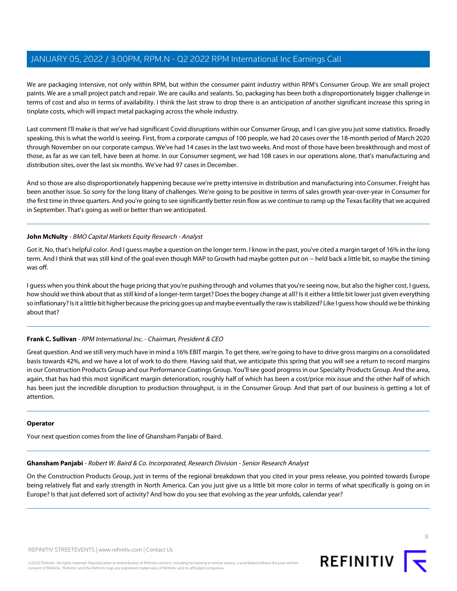We are packaging intensive, not only within RPM, but within the consumer paint industry within RPM's Consumer Group. We are small project paints. We are a small project patch and repair. We are caulks and sealants. So, packaging has been both a disproportionately bigger challenge in terms of cost and also in terms of availability. I think the last straw to drop there is an anticipation of another significant increase this spring in tinplate costs, which will impact metal packaging across the whole industry.

Last comment I'll make is that we've had significant Covid disruptions within our Consumer Group, and I can give you just some statistics. Broadly speaking, this is what the world is seeing. First, from a corporate campus of 100 people, we had 20 cases over the 18-month period of March 2020 through November on our corporate campus. We've had 14 cases in the last two weeks. And most of those have been breakthrough and most of those, as far as we can tell, have been at home. In our Consumer segment, we had 108 cases in our operations alone, that's manufacturing and distribution sites, over the last six months. We've had 97 cases in December.

And so those are also disproportionately happening because we're pretty intensive in distribution and manufacturing into Consumer. Freight has been another issue. So sorry for the long litany of challenges. We're going to be positive in terms of sales growth year-over-year in Consumer for the first time in three quarters. And you're going to see significantly better resin flow as we continue to ramp up the Texas facility that we acquired in September. That's going as well or better than we anticipated.

## **John McNulty** - BMO Capital Markets Equity Research - Analyst

Got it. No, that's helpful color. And I guess maybe a question on the longer term. I know in the past, you've cited a margin target of 16% in the long term. And I think that was still kind of the goal even though MAP to Growth had maybe gotten put on -- held back a little bit, so maybe the timing was off.

I guess when you think about the huge pricing that you're pushing through and volumes that you're seeing now, but also the higher cost, I guess, how should we think about that as still kind of a longer-term target? Does the bogey change at all? Is it either a little bit lower just given everything so inflationary? Is it a little bit higher because the pricing goes up and maybe eventually the raw is stabilized? Like I guess how should we be thinking about that?

## **Frank C. Sullivan** - RPM International Inc. - Chairman, President & CEO

Great question. And we still very much have in mind a 16% EBIT margin. To get there, we're going to have to drive gross margins on a consolidated basis towards 42%, and we have a lot of work to do there. Having said that, we anticipate this spring that you will see a return to record margins in our Construction Products Group and our Performance Coatings Group. You'll see good progress in our Specialty Products Group. And the area, again, that has had this most significant margin deterioration, roughly half of which has been a cost/price mix issue and the other half of which has been just the incredible disruption to production throughput, is in the Consumer Group. And that part of our business is getting a lot of attention.

## <span id="page-7-0"></span>**Operator**

Your next question comes from the line of Ghansham Panjabi of Baird.

## **Ghansham Panjabi** - Robert W. Baird & Co. Incorporated, Research Division - Senior Research Analyst

On the Construction Products Group, just in terms of the regional breakdown that you cited in your press release, you pointed towards Europe being relatively flat and early strength in North America. Can you just give us a little bit more color in terms of what specifically is going on in Europe? Is that just deferred sort of activity? And how do you see that evolving as the year unfolds, calendar year?



8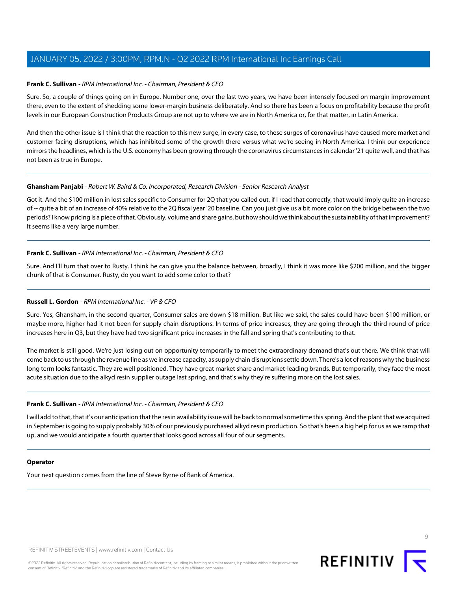#### **Frank C. Sullivan** - RPM International Inc. - Chairman, President & CEO

Sure. So, a couple of things going on in Europe. Number one, over the last two years, we have been intensely focused on margin improvement there, even to the extent of shedding some lower-margin business deliberately. And so there has been a focus on profitability because the profit levels in our European Construction Products Group are not up to where we are in North America or, for that matter, in Latin America.

And then the other issue is I think that the reaction to this new surge, in every case, to these surges of coronavirus have caused more market and customer-facing disruptions, which has inhibited some of the growth there versus what we're seeing in North America. I think our experience mirrors the headlines, which is the U.S. economy has been growing through the coronavirus circumstances in calendar '21 quite well, and that has not been as true in Europe.

#### **Ghansham Panjabi** - Robert W. Baird & Co. Incorporated, Research Division - Senior Research Analyst

Got it. And the \$100 million in lost sales specific to Consumer for 2Q that you called out, if I read that correctly, that would imply quite an increase of -- quite a bit of an increase of 40% relative to the 2Q fiscal year '20 baseline. Can you just give us a bit more color on the bridge between the two periods? I know pricing is a piece of that. Obviously, volume and share gains, but how should we think about the sustainability of that improvement? It seems like a very large number.

## **Frank C. Sullivan** - RPM International Inc. - Chairman, President & CEO

Sure. And I'll turn that over to Rusty. I think he can give you the balance between, broadly, I think it was more like \$200 million, and the bigger chunk of that is Consumer. Rusty, do you want to add some color to that?

## **Russell L. Gordon** - RPM International Inc. - VP & CFO

Sure. Yes, Ghansham, in the second quarter, Consumer sales are down \$18 million. But like we said, the sales could have been \$100 million, or maybe more, higher had it not been for supply chain disruptions. In terms of price increases, they are going through the third round of price increases here in Q3, but they have had two significant price increases in the fall and spring that's contributing to that.

The market is still good. We're just losing out on opportunity temporarily to meet the extraordinary demand that's out there. We think that will come back to us through the revenue line as we increase capacity, as supply chain disruptions settle down. There's a lot of reasons why the business long term looks fantastic. They are well positioned. They have great market share and market-leading brands. But temporarily, they face the most acute situation due to the alkyd resin supplier outage last spring, and that's why they're suffering more on the lost sales.

## **Frank C. Sullivan** - RPM International Inc. - Chairman, President & CEO

I will add to that, that it's our anticipation that the resin availability issue will be back to normal sometime this spring. And the plant that we acquired in September is going to supply probably 30% of our previously purchased alkyd resin production. So that's been a big help for us as we ramp that up, and we would anticipate a fourth quarter that looks good across all four of our segments.

#### **Operator**

Your next question comes from the line of Steve Byrne of Bank of America.

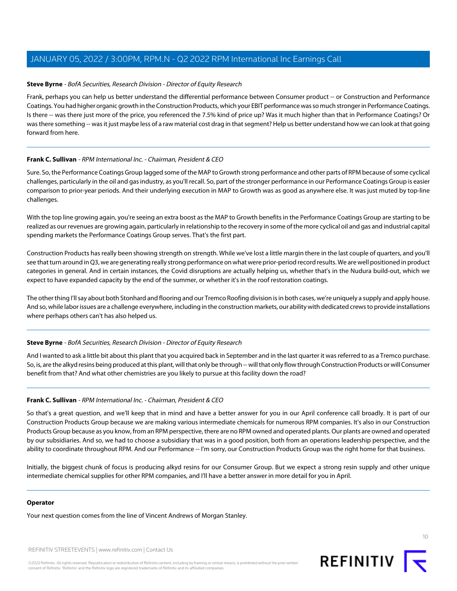#### <span id="page-9-0"></span>**Steve Byrne** - BofA Securities, Research Division - Director of Equity Research

Frank, perhaps you can help us better understand the differential performance between Consumer product -- or Construction and Performance Coatings. You had higher organic growth in the Construction Products, which your EBIT performance was so much stronger in Performance Coatings. Is there -- was there just more of the price, you referenced the 7.5% kind of price up? Was it much higher than that in Performance Coatings? Or was there something -- was it just maybe less of a raw material cost drag in that segment? Help us better understand how we can look at that going forward from here.

#### **Frank C. Sullivan** - RPM International Inc. - Chairman, President & CEO

Sure. So, the Performance Coatings Group lagged some of the MAP to Growth strong performance and other parts of RPM because of some cyclical challenges, particularly in the oil and gas industry, as you'll recall. So, part of the stronger performance in our Performance Coatings Group is easier comparison to prior-year periods. And their underlying execution in MAP to Growth was as good as anywhere else. It was just muted by top-line challenges.

With the top line growing again, you're seeing an extra boost as the MAP to Growth benefits in the Performance Coatings Group are starting to be realized as our revenues are growing again, particularly in relationship to the recovery in some of the more cyclical oil and gas and industrial capital spending markets the Performance Coatings Group serves. That's the first part.

Construction Products has really been showing strength on strength. While we've lost a little margin there in the last couple of quarters, and you'll see that turn around in Q3, we are generating really strong performance on what were prior-period record results. We are well positioned in product categories in general. And in certain instances, the Covid disruptions are actually helping us, whether that's in the Nudura build-out, which we expect to have expanded capacity by the end of the summer, or whether it's in the roof restoration coatings.

The other thing I'll say about both Stonhard and flooring and our Tremco Roofing division is in both cases, we're uniquely a supply and apply house. And so, while labor issues are a challenge everywhere, including in the construction markets, our ability with dedicated crews to provide installations where perhaps others can't has also helped us.

## **Steve Byrne** - BofA Securities, Research Division - Director of Equity Research

And I wanted to ask a little bit about this plant that you acquired back in September and in the last quarter it was referred to as a Tremco purchase. So, is, are the alkyd resins being produced at this plant, will that only be through -- will that only flow through Construction Products or will Consumer benefit from that? And what other chemistries are you likely to pursue at this facility down the road?

## **Frank C. Sullivan** - RPM International Inc. - Chairman, President & CEO

So that's a great question, and we'll keep that in mind and have a better answer for you in our April conference call broadly. It is part of our Construction Products Group because we are making various intermediate chemicals for numerous RPM companies. It's also in our Construction Products Group because as you know, from an RPM perspective, there are no RPM owned and operated plants. Our plants are owned and operated by our subsidiaries. And so, we had to choose a subsidiary that was in a good position, both from an operations leadership perspective, and the ability to coordinate throughout RPM. And our Performance -- I'm sorry, our Construction Products Group was the right home for that business.

Initially, the biggest chunk of focus is producing alkyd resins for our Consumer Group. But we expect a strong resin supply and other unique intermediate chemical supplies for other RPM companies, and I'll have a better answer in more detail for you in April.

#### **Operator**

Your next question comes from the line of Vincent Andrews of Morgan Stanley.

REFINITIV STREETEVENTS | [www.refinitiv.com](https://www.refinitiv.com/) | [Contact Us](https://www.refinitiv.com/en/contact-us)

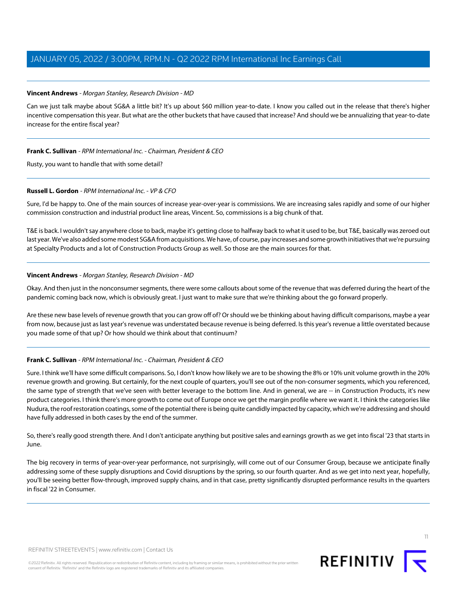## <span id="page-10-0"></span>**Vincent Andrews** - Morgan Stanley, Research Division - MD

Can we just talk maybe about SG&A a little bit? It's up about \$60 million year-to-date. I know you called out in the release that there's higher incentive compensation this year. But what are the other buckets that have caused that increase? And should we be annualizing that year-to-date increase for the entire fiscal year?

## **Frank C. Sullivan** - RPM International Inc. - Chairman, President & CEO

Rusty, you want to handle that with some detail?

## **Russell L. Gordon** - RPM International Inc. - VP & CFO

Sure, I'd be happy to. One of the main sources of increase year-over-year is commissions. We are increasing sales rapidly and some of our higher commission construction and industrial product line areas, Vincent. So, commissions is a big chunk of that.

T&E is back. I wouldn't say anywhere close to back, maybe it's getting close to halfway back to what it used to be, but T&E, basically was zeroed out last year. We've also added some modest SG&A from acquisitions. We have, of course, pay increases and some growth initiatives that we're pursuing at Specialty Products and a lot of Construction Products Group as well. So those are the main sources for that.

## **Vincent Andrews** - Morgan Stanley, Research Division - MD

Okay. And then just in the nonconsumer segments, there were some callouts about some of the revenue that was deferred during the heart of the pandemic coming back now, which is obviously great. I just want to make sure that we're thinking about the go forward properly.

Are these new base levels of revenue growth that you can grow off of? Or should we be thinking about having difficult comparisons, maybe a year from now, because just as last year's revenue was understated because revenue is being deferred. Is this year's revenue a little overstated because you made some of that up? Or how should we think about that continuum?

## **Frank C. Sullivan** - RPM International Inc. - Chairman, President & CEO

Sure. I think we'll have some difficult comparisons. So, I don't know how likely we are to be showing the 8% or 10% unit volume growth in the 20% revenue growth and growing. But certainly, for the next couple of quarters, you'll see out of the non-consumer segments, which you referenced, the same type of strength that we've seen with better leverage to the bottom line. And in general, we are -- in Construction Products, it's new product categories. I think there's more growth to come out of Europe once we get the margin profile where we want it. I think the categories like Nudura, the roof restoration coatings, some of the potential there is being quite candidly impacted by capacity, which we're addressing and should have fully addressed in both cases by the end of the summer.

So, there's really good strength there. And I don't anticipate anything but positive sales and earnings growth as we get into fiscal '23 that starts in June.

The big recovery in terms of year-over-year performance, not surprisingly, will come out of our Consumer Group, because we anticipate finally addressing some of these supply disruptions and Covid disruptions by the spring, so our fourth quarter. And as we get into next year, hopefully, you'll be seeing better flow-through, improved supply chains, and in that case, pretty significantly disrupted performance results in the quarters in fiscal '22 in Consumer.

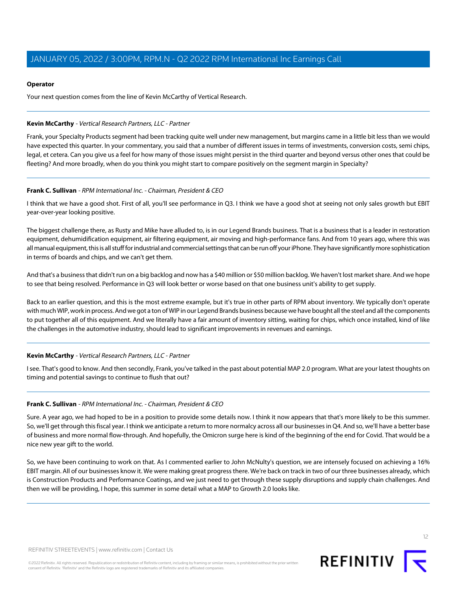#### **Operator**

Your next question comes from the line of Kevin McCarthy of Vertical Research.

#### <span id="page-11-0"></span>**Kevin McCarthy** - Vertical Research Partners, LLC - Partner

Frank, your Specialty Products segment had been tracking quite well under new management, but margins came in a little bit less than we would have expected this quarter. In your commentary, you said that a number of different issues in terms of investments, conversion costs, semi chips, legal, et cetera. Can you give us a feel for how many of those issues might persist in the third quarter and beyond versus other ones that could be fleeting? And more broadly, when do you think you might start to compare positively on the segment margin in Specialty?

#### **Frank C. Sullivan** - RPM International Inc. - Chairman, President & CEO

I think that we have a good shot. First of all, you'll see performance in Q3. I think we have a good shot at seeing not only sales growth but EBIT year-over-year looking positive.

The biggest challenge there, as Rusty and Mike have alluded to, is in our Legend Brands business. That is a business that is a leader in restoration equipment, dehumidification equipment, air filtering equipment, air moving and high-performance fans. And from 10 years ago, where this was all manual equipment, this is all stuff for industrial and commercial settings that can be run off your iPhone. They have significantly more sophistication in terms of boards and chips, and we can't get them.

And that's a business that didn't run on a big backlog and now has a \$40 million or \$50 million backlog. We haven't lost market share. And we hope to see that being resolved. Performance in Q3 will look better or worse based on that one business unit's ability to get supply.

Back to an earlier question, and this is the most extreme example, but it's true in other parts of RPM about inventory. We typically don't operate with much WIP, work in process. And we got a ton of WIP in our Legend Brands business because we have bought all the steel and all the components to put together all of this equipment. And we literally have a fair amount of inventory sitting, waiting for chips, which once installed, kind of like the challenges in the automotive industry, should lead to significant improvements in revenues and earnings.

## **Kevin McCarthy** - Vertical Research Partners, LLC - Partner

I see. That's good to know. And then secondly, Frank, you've talked in the past about potential MAP 2.0 program. What are your latest thoughts on timing and potential savings to continue to flush that out?

## **Frank C. Sullivan** - RPM International Inc. - Chairman, President & CEO

Sure. A year ago, we had hoped to be in a position to provide some details now. I think it now appears that that's more likely to be this summer. So, we'll get through this fiscal year. I think we anticipate a return to more normalcy across all our businesses in Q4. And so, we'll have a better base of business and more normal flow-through. And hopefully, the Omicron surge here is kind of the beginning of the end for Covid. That would be a nice new year gift to the world.

So, we have been continuing to work on that. As I commented earlier to John McNulty's question, we are intensely focused on achieving a 16% EBIT margin. All of our businesses know it. We were making great progress there. We're back on track in two of our three businesses already, which is Construction Products and Performance Coatings, and we just need to get through these supply disruptions and supply chain challenges. And then we will be providing, I hope, this summer in some detail what a MAP to Growth 2.0 looks like.

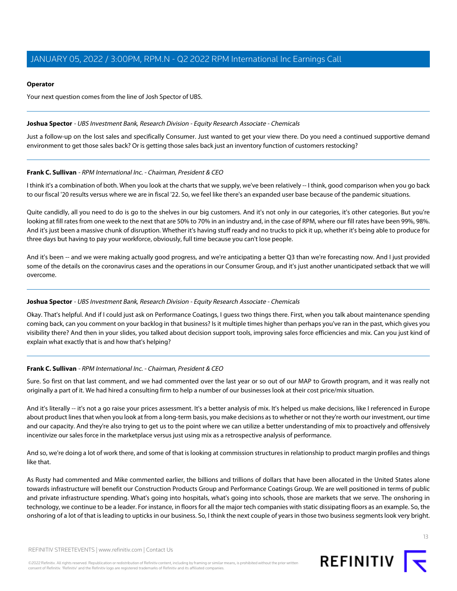#### **Operator**

Your next question comes from the line of Josh Spector of UBS.

#### <span id="page-12-0"></span>**Joshua Spector** - UBS Investment Bank, Research Division - Equity Research Associate - Chemicals

Just a follow-up on the lost sales and specifically Consumer. Just wanted to get your view there. Do you need a continued supportive demand environment to get those sales back? Or is getting those sales back just an inventory function of customers restocking?

## **Frank C. Sullivan** - RPM International Inc. - Chairman, President & CEO

I think it's a combination of both. When you look at the charts that we supply, we've been relatively -- I think, good comparison when you go back to our fiscal '20 results versus where we are in fiscal '22. So, we feel like there's an expanded user base because of the pandemic situations.

Quite candidly, all you need to do is go to the shelves in our big customers. And it's not only in our categories, it's other categories. But you're looking at fill rates from one week to the next that are 50% to 70% in an industry and, in the case of RPM, where our fill rates have been 99%, 98%. And it's just been a massive chunk of disruption. Whether it's having stuff ready and no trucks to pick it up, whether it's being able to produce for three days but having to pay your workforce, obviously, full time because you can't lose people.

And it's been -- and we were making actually good progress, and we're anticipating a better Q3 than we're forecasting now. And I just provided some of the details on the coronavirus cases and the operations in our Consumer Group, and it's just another unanticipated setback that we will overcome.

## **Joshua Spector** - UBS Investment Bank, Research Division - Equity Research Associate - Chemicals

Okay. That's helpful. And if I could just ask on Performance Coatings, I guess two things there. First, when you talk about maintenance spending coming back, can you comment on your backlog in that business? Is it multiple times higher than perhaps you've ran in the past, which gives you visibility there? And then in your slides, you talked about decision support tools, improving sales force efficiencies and mix. Can you just kind of explain what exactly that is and how that's helping?

## **Frank C. Sullivan** - RPM International Inc. - Chairman, President & CEO

Sure. So first on that last comment, and we had commented over the last year or so out of our MAP to Growth program, and it was really not originally a part of it. We had hired a consulting firm to help a number of our businesses look at their cost price/mix situation.

And it's literally -- it's not a go raise your prices assessment. It's a better analysis of mix. It's helped us make decisions, like I referenced in Europe about product lines that when you look at from a long-term basis, you make decisions as to whether or not they're worth our investment, our time and our capacity. And they're also trying to get us to the point where we can utilize a better understanding of mix to proactively and offensively incentivize our sales force in the marketplace versus just using mix as a retrospective analysis of performance.

And so, we're doing a lot of work there, and some of that is looking at commission structures in relationship to product margin profiles and things like that.

As Rusty had commented and Mike commented earlier, the billions and trillions of dollars that have been allocated in the United States alone towards infrastructure will benefit our Construction Products Group and Performance Coatings Group. We are well positioned in terms of public and private infrastructure spending. What's going into hospitals, what's going into schools, those are markets that we serve. The onshoring in technology, we continue to be a leader. For instance, in floors for all the major tech companies with static dissipating floors as an example. So, the onshoring of a lot of that is leading to upticks in our business. So, I think the next couple of years in those two business segments look very bright.

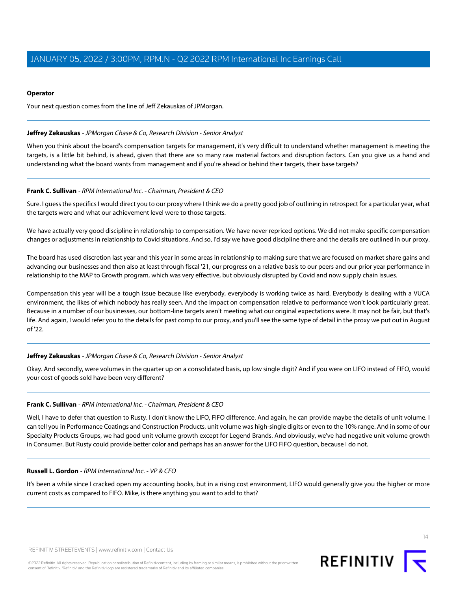## **Operator**

<span id="page-13-0"></span>Your next question comes from the line of Jeff Zekauskas of JPMorgan.

## **Jeffrey Zekauskas** - JPMorgan Chase & Co, Research Division - Senior Analyst

When you think about the board's compensation targets for management, it's very difficult to understand whether management is meeting the targets, is a little bit behind, is ahead, given that there are so many raw material factors and disruption factors. Can you give us a hand and understanding what the board wants from management and if you're ahead or behind their targets, their base targets?

## **Frank C. Sullivan** - RPM International Inc. - Chairman, President & CEO

Sure. I guess the specifics I would direct you to our proxy where I think we do a pretty good job of outlining in retrospect for a particular year, what the targets were and what our achievement level were to those targets.

We have actually very good discipline in relationship to compensation. We have never repriced options. We did not make specific compensation changes or adjustments in relationship to Covid situations. And so, I'd say we have good discipline there and the details are outlined in our proxy.

The board has used discretion last year and this year in some areas in relationship to making sure that we are focused on market share gains and advancing our businesses and then also at least through fiscal '21, our progress on a relative basis to our peers and our prior year performance in relationship to the MAP to Growth program, which was very effective, but obviously disrupted by Covid and now supply chain issues.

Compensation this year will be a tough issue because like everybody, everybody is working twice as hard. Everybody is dealing with a VUCA environment, the likes of which nobody has really seen. And the impact on compensation relative to performance won't look particularly great. Because in a number of our businesses, our bottom-line targets aren't meeting what our original expectations were. It may not be fair, but that's life. And again, I would refer you to the details for past comp to our proxy, and you'll see the same type of detail in the proxy we put out in August of '22.

## **Jeffrey Zekauskas** - JPMorgan Chase & Co, Research Division - Senior Analyst

Okay. And secondly, were volumes in the quarter up on a consolidated basis, up low single digit? And if you were on LIFO instead of FIFO, would your cost of goods sold have been very different?

## **Frank C. Sullivan** - RPM International Inc. - Chairman, President & CEO

Well, I have to defer that question to Rusty. I don't know the LIFO, FIFO difference. And again, he can provide maybe the details of unit volume. I can tell you in Performance Coatings and Construction Products, unit volume was high-single digits or even to the 10% range. And in some of our Specialty Products Groups, we had good unit volume growth except for Legend Brands. And obviously, we've had negative unit volume growth in Consumer. But Rusty could provide better color and perhaps has an answer for the LIFO FIFO question, because I do not.

## **Russell L. Gordon** - RPM International Inc. - VP & CFO

It's been a while since I cracked open my accounting books, but in a rising cost environment, LIFO would generally give you the higher or more current costs as compared to FIFO. Mike, is there anything you want to add to that?

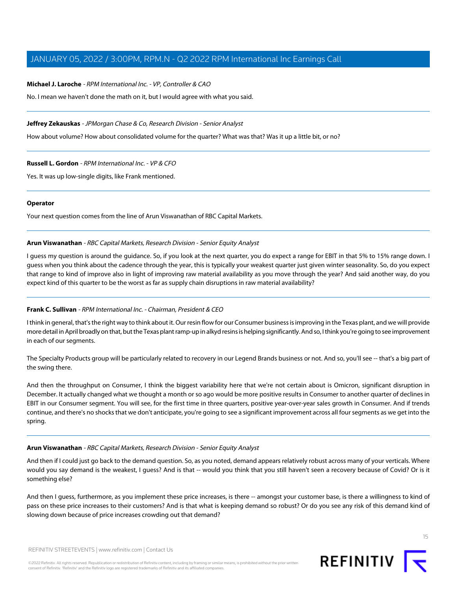#### **Michael J. Laroche** - RPM International Inc. - VP, Controller & CAO

No. I mean we haven't done the math on it, but I would agree with what you said.

#### **Jeffrey Zekauskas** - JPMorgan Chase & Co, Research Division - Senior Analyst

How about volume? How about consolidated volume for the quarter? What was that? Was it up a little bit, or no?

#### **Russell L. Gordon** - RPM International Inc. - VP & CFO

Yes. It was up low-single digits, like Frank mentioned.

#### **Operator**

<span id="page-14-0"></span>Your next question comes from the line of Arun Viswanathan of RBC Capital Markets.

#### **Arun Viswanathan** - RBC Capital Markets, Research Division - Senior Equity Analyst

I guess my question is around the guidance. So, if you look at the next quarter, you do expect a range for EBIT in that 5% to 15% range down. I guess when you think about the cadence through the year, this is typically your weakest quarter just given winter seasonality. So, do you expect that range to kind of improve also in light of improving raw material availability as you move through the year? And said another way, do you expect kind of this quarter to be the worst as far as supply chain disruptions in raw material availability?

## **Frank C. Sullivan** - RPM International Inc. - Chairman, President & CEO

I think in general, that's the right way to think about it. Our resin flow for our Consumer business is improving in the Texas plant, and we will provide more detail in April broadly on that, but the Texas plant ramp-up in alkyd resins is helping significantly. And so, I think you're going to see improvement in each of our segments.

The Specialty Products group will be particularly related to recovery in our Legend Brands business or not. And so, you'll see -- that's a big part of the swing there.

And then the throughput on Consumer, I think the biggest variability here that we're not certain about is Omicron, significant disruption in December. It actually changed what we thought a month or so ago would be more positive results in Consumer to another quarter of declines in EBIT in our Consumer segment. You will see, for the first time in three quarters, positive year-over-year sales growth in Consumer. And if trends continue, and there's no shocks that we don't anticipate, you're going to see a significant improvement across all four segments as we get into the spring.

#### **Arun Viswanathan** - RBC Capital Markets, Research Division - Senior Equity Analyst

And then if I could just go back to the demand question. So, as you noted, demand appears relatively robust across many of your verticals. Where would you say demand is the weakest, I guess? And is that -- would you think that you still haven't seen a recovery because of Covid? Or is it something else?

And then I guess, furthermore, as you implement these price increases, is there -- amongst your customer base, is there a willingness to kind of pass on these price increases to their customers? And is that what is keeping demand so robust? Or do you see any risk of this demand kind of slowing down because of price increases crowding out that demand?

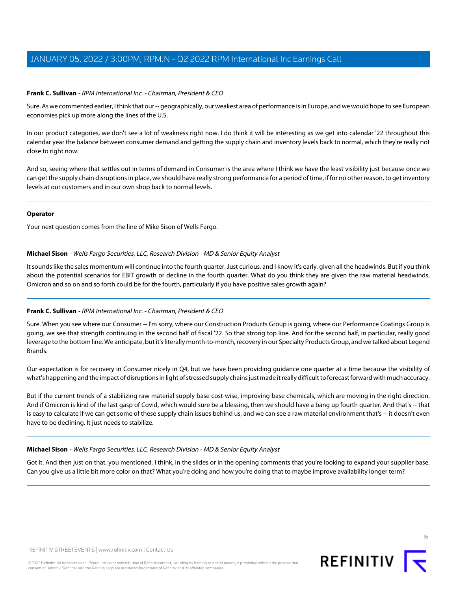## **Frank C. Sullivan** - RPM International Inc. - Chairman, President & CEO

Sure. As we commented earlier, I think that our -- geographically, our weakest area of performance is in Europe, and we would hope to see European economies pick up more along the lines of the U.S.

In our product categories, we don't see a lot of weakness right now. I do think it will be interesting as we get into calendar '22 throughout this calendar year the balance between consumer demand and getting the supply chain and inventory levels back to normal, which they're really not close to right now.

And so, seeing where that settles out in terms of demand in Consumer is the area where I think we have the least visibility just because once we can get the supply chain disruptions in place, we should have really strong performance for a period of time, if for no other reason, to get inventory levels at our customers and in our own shop back to normal levels.

#### **Operator**

<span id="page-15-0"></span>Your next question comes from the line of Mike Sison of Wells Fargo.

## **Michael Sison** - Wells Fargo Securities, LLC, Research Division - MD & Senior Equity Analyst

It sounds like the sales momentum will continue into the fourth quarter. Just curious, and I know it's early, given all the headwinds. But if you think about the potential scenarios for EBIT growth or decline in the fourth quarter. What do you think they are given the raw material headwinds, Omicron and so on and so forth could be for the fourth, particularly if you have positive sales growth again?

## **Frank C. Sullivan** - RPM International Inc. - Chairman, President & CEO

Sure. When you see where our Consumer -- I'm sorry, where our Construction Products Group is going, where our Performance Coatings Group is going, we see that strength continuing in the second half of fiscal '22. So that strong top line. And for the second half, in particular, really good leverage to the bottom line. We anticipate, but it's literally month-to-month, recovery in our Specialty Products Group, and we talked about Legend Brands.

Our expectation is for recovery in Consumer nicely in Q4, but we have been providing guidance one quarter at a time because the visibility of what's happening and the impact of disruptions in light of stressed supply chains just made it really difficult to forecast forward with much accuracy.

But if the current trends of a stabilizing raw material supply base cost-wise, improving base chemicals, which are moving in the right direction. And if Omicron is kind of the last gasp of Covid, which would sure be a blessing, then we should have a bang up fourth quarter. And that's -- that is easy to calculate if we can get some of these supply chain issues behind us, and we can see a raw material environment that's -- it doesn't even have to be declining. It just needs to stabilize.

## **Michael Sison** - Wells Fargo Securities, LLC, Research Division - MD & Senior Equity Analyst

Got it. And then just on that, you mentioned, I think, in the slides or in the opening comments that you're looking to expand your supplier base. Can you give us a little bit more color on that? What you're doing and how you're doing that to maybe improve availability longer term?

16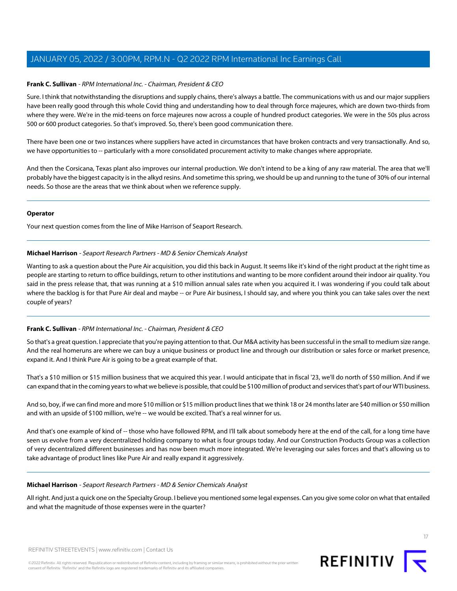## **Frank C. Sullivan** - RPM International Inc. - Chairman, President & CEO

Sure. I think that notwithstanding the disruptions and supply chains, there's always a battle. The communications with us and our major suppliers have been really good through this whole Covid thing and understanding how to deal through force majeures, which are down two-thirds from where they were. We're in the mid-teens on force majeures now across a couple of hundred product categories. We were in the 50s plus across 500 or 600 product categories. So that's improved. So, there's been good communication there.

There have been one or two instances where suppliers have acted in circumstances that have broken contracts and very transactionally. And so, we have opportunities to -- particularly with a more consolidated procurement activity to make changes where appropriate.

And then the Corsicana, Texas plant also improves our internal production. We don't intend to be a king of any raw material. The area that we'll probably have the biggest capacity is in the alkyd resins. And sometime this spring, we should be up and running to the tune of 30% of our internal needs. So those are the areas that we think about when we reference supply.

#### **Operator**

<span id="page-16-0"></span>Your next question comes from the line of Mike Harrison of Seaport Research.

## **Michael Harrison** - Seaport Research Partners - MD & Senior Chemicals Analyst

Wanting to ask a question about the Pure Air acquisition, you did this back in August. It seems like it's kind of the right product at the right time as people are starting to return to office buildings, return to other institutions and wanting to be more confident around their indoor air quality. You said in the press release that, that was running at a \$10 million annual sales rate when you acquired it. I was wondering if you could talk about where the backlog is for that Pure Air deal and maybe -- or Pure Air business, I should say, and where you think you can take sales over the next couple of years?

## **Frank C. Sullivan** - RPM International Inc. - Chairman, President & CEO

So that's a great question. I appreciate that you're paying attention to that. Our M&A activity has been successful in the small to medium size range. And the real homeruns are where we can buy a unique business or product line and through our distribution or sales force or market presence, expand it. And I think Pure Air is going to be a great example of that.

That's a \$10 million or \$15 million business that we acquired this year. I would anticipate that in fiscal '23, we'll do north of \$50 million. And if we can expand that in the coming years to what we believe is possible, that could be \$100 million of product and services that's part of our WTI business.

And so, boy, if we can find more and more \$10 million or \$15 million product lines that we think 18 or 24 months later are \$40 million or \$50 million and with an upside of \$100 million, we're -- we would be excited. That's a real winner for us.

And that's one example of kind of -- those who have followed RPM, and I'll talk about somebody here at the end of the call, for a long time have seen us evolve from a very decentralized holding company to what is four groups today. And our Construction Products Group was a collection of very decentralized different businesses and has now been much more integrated. We're leveraging our sales forces and that's allowing us to take advantage of product lines like Pure Air and really expand it aggressively.

## **Michael Harrison** - Seaport Research Partners - MD & Senior Chemicals Analyst

All right. And just a quick one on the Specialty Group. I believe you mentioned some legal expenses. Can you give some color on what that entailed and what the magnitude of those expenses were in the quarter?

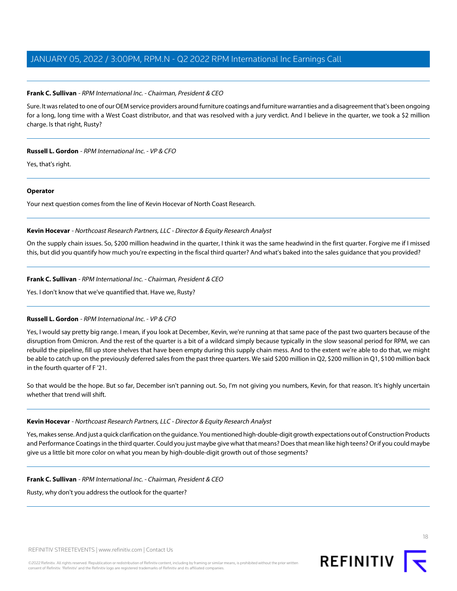## **Frank C. Sullivan** - RPM International Inc. - Chairman, President & CEO

Sure. It was related to one of our OEM service providers around furniture coatings and furniture warranties and a disagreement that's been ongoing for a long, long time with a West Coast distributor, and that was resolved with a jury verdict. And I believe in the quarter, we took a \$2 million charge. Is that right, Rusty?

## **Russell L. Gordon** - RPM International Inc. - VP & CFO

Yes, that's right.

#### **Operator**

<span id="page-17-0"></span>Your next question comes from the line of Kevin Hocevar of North Coast Research.

## **Kevin Hocevar** - Northcoast Research Partners, LLC - Director & Equity Research Analyst

On the supply chain issues. So, \$200 million headwind in the quarter, I think it was the same headwind in the first quarter. Forgive me if I missed this, but did you quantify how much you're expecting in the fiscal third quarter? And what's baked into the sales guidance that you provided?

## **Frank C. Sullivan** - RPM International Inc. - Chairman, President & CEO

Yes. I don't know that we've quantified that. Have we, Rusty?

## **Russell L. Gordon** - RPM International Inc. - VP & CFO

Yes, I would say pretty big range. I mean, if you look at December, Kevin, we're running at that same pace of the past two quarters because of the disruption from Omicron. And the rest of the quarter is a bit of a wildcard simply because typically in the slow seasonal period for RPM, we can rebuild the pipeline, fill up store shelves that have been empty during this supply chain mess. And to the extent we're able to do that, we might be able to catch up on the previously deferred sales from the past three quarters. We said \$200 million in Q2, \$200 million in Q1, \$100 million back in the fourth quarter of F '21.

So that would be the hope. But so far, December isn't panning out. So, I'm not giving you numbers, Kevin, for that reason. It's highly uncertain whether that trend will shift.

## **Kevin Hocevar** - Northcoast Research Partners, LLC - Director & Equity Research Analyst

Yes, makes sense. And just a quick clarification on the guidance. You mentioned high-double-digit growth expectations out of Construction Products and Performance Coatings in the third quarter. Could you just maybe give what that means? Does that mean like high teens? Or if you could maybe give us a little bit more color on what you mean by high-double-digit growth out of those segments?

## **Frank C. Sullivan** - RPM International Inc. - Chairman, President & CEO

Rusty, why don't you address the outlook for the quarter?

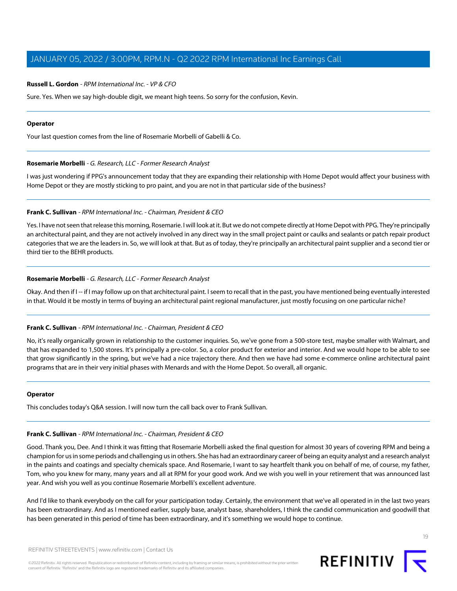#### **Russell L. Gordon** - RPM International Inc. - VP & CFO

Sure. Yes. When we say high-double digit, we meant high teens. So sorry for the confusion, Kevin.

#### **Operator**

<span id="page-18-0"></span>Your last question comes from the line of Rosemarie Morbelli of Gabelli & Co.

#### **Rosemarie Morbelli** - G. Research, LLC - Former Research Analyst

I was just wondering if PPG's announcement today that they are expanding their relationship with Home Depot would affect your business with Home Depot or they are mostly sticking to pro paint, and you are not in that particular side of the business?

#### **Frank C. Sullivan** - RPM International Inc. - Chairman, President & CEO

Yes. I have not seen that release this morning, Rosemarie. I will look at it. But we do not compete directly at Home Depot with PPG. They're principally an architectural paint, and they are not actively involved in any direct way in the small project paint or caulks and sealants or patch repair product categories that we are the leaders in. So, we will look at that. But as of today, they're principally an architectural paint supplier and a second tier or third tier to the BEHR products.

#### **Rosemarie Morbelli** - G. Research, LLC - Former Research Analyst

Okay. And then if I -- if I may follow up on that architectural paint. I seem to recall that in the past, you have mentioned being eventually interested in that. Would it be mostly in terms of buying an architectural paint regional manufacturer, just mostly focusing on one particular niche?

#### **Frank C. Sullivan** - RPM International Inc. - Chairman, President & CEO

No, it's really organically grown in relationship to the customer inquiries. So, we've gone from a 500-store test, maybe smaller with Walmart, and that has expanded to 1,500 stores. It's principally a pre-color. So, a color product for exterior and interior. And we would hope to be able to see that grow significantly in the spring, but we've had a nice trajectory there. And then we have had some e-commerce online architectural paint programs that are in their very initial phases with Menards and with the Home Depot. So overall, all organic.

#### **Operator**

This concludes today's Q&A session. I will now turn the call back over to Frank Sullivan.

#### **Frank C. Sullivan** - RPM International Inc. - Chairman, President & CEO

Good. Thank you, Dee. And I think it was fitting that Rosemarie Morbelli asked the final question for almost 30 years of covering RPM and being a champion for us in some periods and challenging us in others. She has had an extraordinary career of being an equity analyst and a research analyst in the paints and coatings and specialty chemicals space. And Rosemarie, I want to say heartfelt thank you on behalf of me, of course, my father, Tom, who you knew for many, many years and all at RPM for your good work. And we wish you well in your retirement that was announced last year. And wish you well as you continue Rosemarie Morbelli's excellent adventure.

And I'd like to thank everybody on the call for your participation today. Certainly, the environment that we've all operated in in the last two years has been extraordinary. And as I mentioned earlier, supply base, analyst base, shareholders, I think the candid communication and goodwill that has been generated in this period of time has been extraordinary, and it's something we would hope to continue.